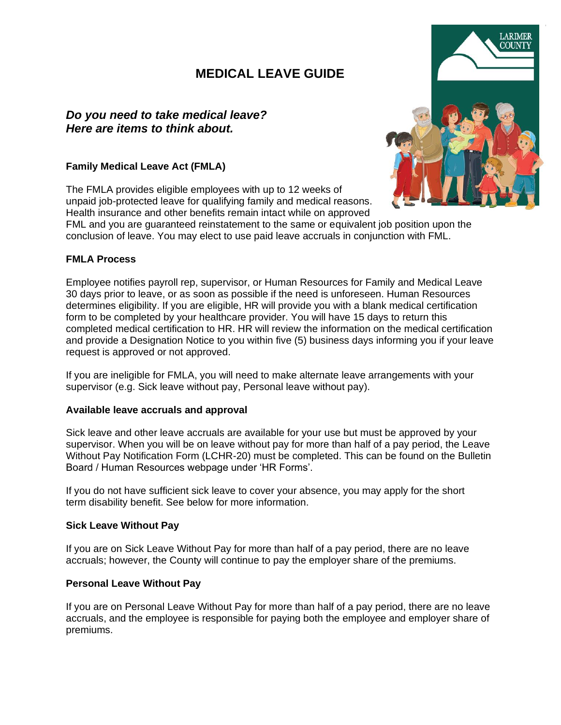# **MEDICAL LEAVE GUIDE**

# *Do you need to take medical leave? Here are items to think about.*

## **Family Medical Leave Act (FMLA)**

The FMLA provides eligible employees with up to 12 weeks of unpaid job-protected leave for qualifying family and medical reasons. Health insurance and other benefits remain intact while on approved



FML and you are guaranteed reinstatement to the same or equivalent job position upon the conclusion of leave. You may elect to use paid leave accruals in conjunction with FML.

### **FMLA Process**

Employee notifies payroll rep, supervisor, or Human Resources for Family and Medical Leave 30 days prior to leave, or as soon as possible if the need is unforeseen. Human Resources determines eligibility. If you are eligible, HR will provide you with a blank medical certification form to be completed by your healthcare provider. You will have 15 days to return this completed medical certification to HR. HR will review the information on the medical certification and provide a Designation Notice to you within five (5) business days informing you if your leave request is approved or not approved.

If you are ineligible for FMLA, you will need to make alternate leave arrangements with your supervisor (e.g. Sick leave without pay, Personal leave without pay).

#### **Available leave accruals and approval**

Sick leave and other leave accruals are available for your use but must be approved by your supervisor. When you will be on leave without pay for more than half of a pay period, the Leave Without Pay Notification Form (LCHR-20) must be completed. This can be found on the Bulletin Board / Human Resources webpage under 'HR Forms'.

If you do not have sufficient sick leave to cover your absence, you may apply for the short term disability benefit. See below for more information.

### **Sick Leave Without Pay**

If you are on Sick Leave Without Pay for more than half of a pay period, there are no leave accruals; however, the County will continue to pay the employer share of the premiums.

### **Personal Leave Without Pay**

If you are on Personal Leave Without Pay for more than half of a pay period, there are no leave accruals, and the employee is responsible for paying both the employee and employer share of premiums.